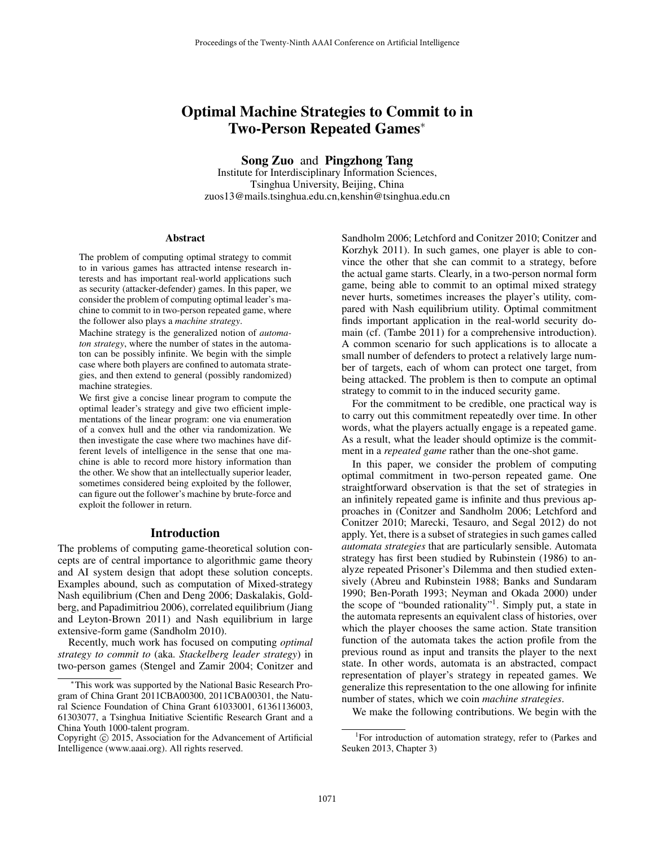# Optimal Machine Strategies to Commit to in Two-Person Repeated Games<sup>∗</sup>

Song Zuo and Pingzhong Tang

Institute for Interdisciplinary Information Sciences, Tsinghua University, Beijing, China zuos13@mails.tsinghua.edu.cn,kenshin@tsinghua.edu.cn

#### Abstract

The problem of computing optimal strategy to commit to in various games has attracted intense research interests and has important real-world applications such as security (attacker-defender) games. In this paper, we consider the problem of computing optimal leader's machine to commit to in two-person repeated game, where the follower also plays a *machine strategy*.

Machine strategy is the generalized notion of *automaton strategy*, where the number of states in the automaton can be possibly infinite. We begin with the simple case where both players are confined to automata strategies, and then extend to general (possibly randomized) machine strategies.

We first give a concise linear program to compute the optimal leader's strategy and give two efficient implementations of the linear program: one via enumeration of a convex hull and the other via randomization. We then investigate the case where two machines have different levels of intelligence in the sense that one machine is able to record more history information than the other. We show that an intellectually superior leader, sometimes considered being exploited by the follower, can figure out the follower's machine by brute-force and exploit the follower in return.

## Introduction

The problems of computing game-theoretical solution concepts are of central importance to algorithmic game theory and AI system design that adopt these solution concepts. Examples abound, such as computation of Mixed-strategy Nash equilibrium (Chen and Deng 2006; Daskalakis, Goldberg, and Papadimitriou 2006), correlated equilibrium (Jiang and Leyton-Brown 2011) and Nash equilibrium in large extensive-form game (Sandholm 2010).

Recently, much work has focused on computing *optimal strategy to commit to* (aka. *Stackelberg leader strategy*) in two-person games (Stengel and Zamir 2004; Conitzer and

Sandholm 2006; Letchford and Conitzer 2010; Conitzer and Korzhyk 2011). In such games, one player is able to convince the other that she can commit to a strategy, before the actual game starts. Clearly, in a two-person normal form game, being able to commit to an optimal mixed strategy never hurts, sometimes increases the player's utility, compared with Nash equilibrium utility. Optimal commitment finds important application in the real-world security domain (cf. (Tambe 2011) for a comprehensive introduction). A common scenario for such applications is to allocate a small number of defenders to protect a relatively large number of targets, each of whom can protect one target, from being attacked. The problem is then to compute an optimal strategy to commit to in the induced security game.

For the commitment to be credible, one practical way is to carry out this commitment repeatedly over time. In other words, what the players actually engage is a repeated game. As a result, what the leader should optimize is the commitment in a *repeated game* rather than the one-shot game.

In this paper, we consider the problem of computing optimal commitment in two-person repeated game. One straightforward observation is that the set of strategies in an infinitely repeated game is infinite and thus previous approaches in (Conitzer and Sandholm 2006; Letchford and Conitzer 2010; Marecki, Tesauro, and Segal 2012) do not apply. Yet, there is a subset of strategies in such games called *automata strategies* that are particularly sensible. Automata strategy has first been studied by Rubinstein (1986) to analyze repeated Prisoner's Dilemma and then studied extensively (Abreu and Rubinstein 1988; Banks and Sundaram 1990; Ben-Porath 1993; Neyman and Okada 2000) under the scope of "bounded rationality"<sup>1</sup> . Simply put, a state in the automata represents an equivalent class of histories, over which the player chooses the same action. State transition function of the automata takes the action profile from the previous round as input and transits the player to the next state. In other words, automata is an abstracted, compact representation of player's strategy in repeated games. We generalize this representation to the one allowing for infinite number of states, which we coin *machine strategies*.

We make the following contributions. We begin with the

<sup>∗</sup>This work was supported by the National Basic Research Program of China Grant 2011CBA00300, 2011CBA00301, the Natural Science Foundation of China Grant 61033001, 61361136003, 61303077, a Tsinghua Initiative Scientific Research Grant and a China Youth 1000-talent program.

Copyright © 2015, Association for the Advancement of Artificial Intelligence (www.aaai.org). All rights reserved.

<sup>&</sup>lt;sup>1</sup>For introduction of automation strategy, refer to (Parkes and Seuken 2013, Chapter 3)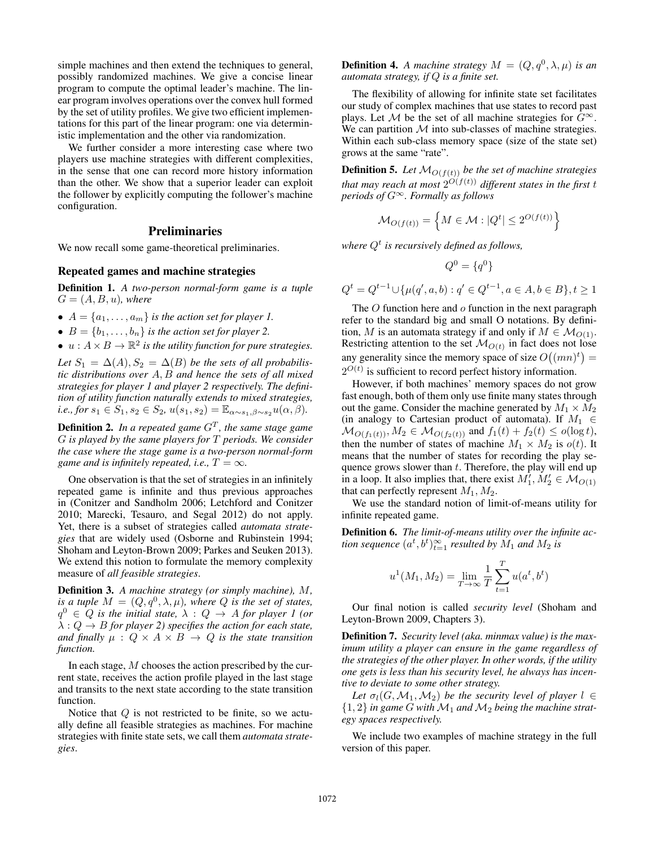simple machines and then extend the techniques to general, possibly randomized machines. We give a concise linear program to compute the optimal leader's machine. The linear program involves operations over the convex hull formed by the set of utility profiles. We give two efficient implementations for this part of the linear program: one via deterministic implementation and the other via randomization.

We further consider a more interesting case where two players use machine strategies with different complexities, in the sense that one can record more history information than the other. We show that a superior leader can exploit the follower by explicitly computing the follower's machine configuration.

## Preliminaries

We now recall some game-theoretical preliminaries.

# Repeated games and machine strategies

Definition 1. *A two-person normal-form game is a tuple*  $G = (A, B, u)$ *, where* 

- $A = \{a_1, \ldots, a_m\}$  *is the action set for player 1.*
- $B = \{b_1, \ldots, b_n\}$  *is the action set for player 2.*
- $u: A \times B \to \mathbb{R}^2$  is the utility function for pure strategies.

Let  $S_1 = \Delta(A), S_2 = \Delta(B)$  *be the sets of all probabilistic distributions over* A, B *and hence the sets of all mixed strategies for player 1 and player 2 respectively. The definition of utility function naturally extends to mixed strategies, i.e., for*  $s_1 \in S_1$ ,  $s_2 \in S_2$ ,  $u(s_1, s_2) = \mathbb{E}_{\alpha \sim s_1, \beta \sim s_2} u(\alpha, \beta)$ .

**Definition 2.** In a repeated game  $G<sup>T</sup>$ , the same stage game G *is played by the same players for* T *periods. We consider the case where the stage game is a two-person normal-form game and is infinitely repeated, i.e.,*  $T = \infty$ *.* 

One observation is that the set of strategies in an infinitely repeated game is infinite and thus previous approaches in (Conitzer and Sandholm 2006; Letchford and Conitzer 2010; Marecki, Tesauro, and Segal 2012) do not apply. Yet, there is a subset of strategies called *automata strategies* that are widely used (Osborne and Rubinstein 1994; Shoham and Leyton-Brown 2009; Parkes and Seuken 2013). We extend this notion to formulate the memory complexity measure of *all feasible strategies*.

Definition 3. *A machine strategy (or simply machine),* M*, is a tuple*  $M = (Q, q^0, \lambda, \mu)$ *, where*  $Q$  *is the set of states,*  $q^0 \in Q$  *is the initial state,*  $\lambda: Q \to A$  *for player 1 (or*  $\lambda: Q \to B$  *for player 2) specifies the action for each state, and finally*  $\mu$  :  $Q \times A \times B \rightarrow Q$  *is the state transition function.*

In each stage, M chooses the action prescribed by the current state, receives the action profile played in the last stage and transits to the next state according to the state transition function.

Notice that  $Q$  is not restricted to be finite, so we actually define all feasible strategies as machines. For machine strategies with finite state sets, we call them *automata strategies*.

**Definition 4.** A machine strategy  $M = (Q, q^0, \lambda, \mu)$  is an *automata strategy, if* Q *is a finite set.*

The flexibility of allowing for infinite state set facilitates our study of complex machines that use states to record past plays. Let M be the set of all machine strategies for  $G^{\infty}$ . We can partition  $M$  into sub-classes of machine strategies. Within each sub-class memory space (size of the state set) grows at the same "rate".

**Definition 5.** Let  $M_{O(f(t))}$  be the set of machine strategies that may reach at most  $2^{O(f(t))}$  different states in the first  $t$ *periods of* G<sup>∞</sup>*. Formally as follows*

$$
\mathcal{M}_{O(f(t))} = \left\{ M \in \mathcal{M} : |Q^t| \le 2^{O(f(t))} \right\}
$$

*where* Q<sup>t</sup> *is recursively defined as follows,*

$$
Q^0 = \{q^0\}
$$

 $Q^t = Q^{t-1} \cup \{\mu(q', a, b) : q' \in Q^{t-1}, a \in A, b \in B\}, t \ge 1$ 

The  $O$  function here and  $o$  function in the next paragraph refer to the standard big and small O notations. By definition, M is an automata strategy if and only if  $M \in \mathcal{M}_{O(1)}$ . Restricting attention to the set  $\mathcal{M}_{O(t)}$  in fact does not lose any generality since the memory space of size  $O((mn)^t)$  =  $2^{O(t)}$  is sufficient to record perfect history information.

However, if both machines' memory spaces do not grow fast enough, both of them only use finite many states through out the game. Consider the machine generated by  $M_1 \times M_2$ (in analogy to Cartesian product of automata). If  $M_1 \in$  $M_{O(f_1(t))}, M_2 \in \mathcal{M}_{O(f_2(t))}$  and  $f_1(t) + f_2(t) \leq o(\log t)$ , then the number of states of machine  $M_1 \times M_2$  is  $o(t)$ . It means that the number of states for recording the play sequence grows slower than  $t$ . Therefore, the play will end up in a loop. It also implies that, there exist  $M_1$ ,  $M_2 \in \mathcal{M}_{O(1)}$ that can perfectly represent  $M_1, M_2$ .

We use the standard notion of limit-of-means utility for infinite repeated game.

Definition 6. *The limit-of-means utility over the infinite ac*tion sequence  $(a^t, b^t)_{t=1}^{\infty}$  resulted by  $M_1$  and  $M_2$  is

$$
u^{1}(M_{1}, M_{2}) = \lim_{T \to \infty} \frac{1}{T} \sum_{t=1}^{T} u(a^{t}, b^{t})
$$

Our final notion is called *security level* (Shoham and Leyton-Brown 2009, Chapters 3).

Definition 7. *Security level (aka. minmax value) is the maximum utility a player can ensure in the game regardless of the strategies of the other player. In other words, if the utility one gets is less than his security level, he always has incentive to deviate to some other strategy.*

Let  $\sigma_l(G, \mathcal{M}_1, \mathcal{M}_2)$  *be the security level of player*  $l \in$  $\{1, 2\}$  *in game G with*  $\mathcal{M}_1$  *and*  $\mathcal{M}_2$  *being the machine strategy spaces respectively.*

We include two examples of machine strategy in the full version of this paper.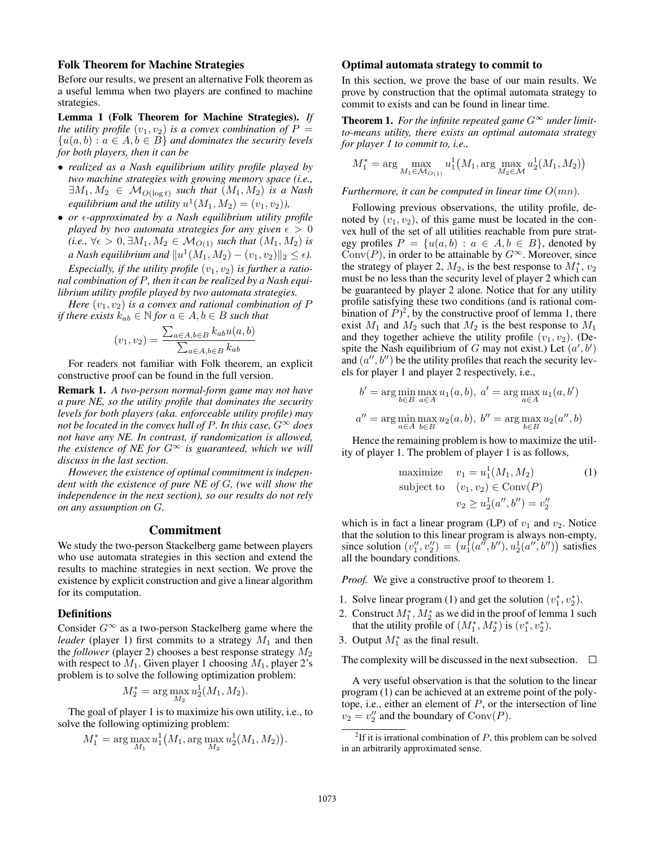## Folk Theorem for Machine Strategies

Before our results, we present an alternative Folk theorem as a useful lemma when two players are confined to machine strategies.

Lemma 1 (Folk Theorem for Machine Strategies). *If the utility profile*  $(v_1, v_2)$  *is a convex combination of*  $P =$  ${u(a, b) : a \in A, b \in B}$  *and dominates the security levels for both players, then it can be*

- *realized as a Nash equilibrium utility profile played by two machine strategies with growing memory space (i.e.,*  $\exists M_1, M_2 \in \mathcal{M}_{O(\log t)}$  *such that*  $(M_1, M_2)$  *is a Nash equilibrium and the utility*  $u^1(M_1, M_2) = (v_1, v_2)$ ,
- *or -approximated by a Nash equilibrium utility profile played by two automata strategies for any given*  $\epsilon > 0$  $(i.e., \forall \epsilon > 0, \exists M_1, M_2 \in \mathcal{M}_{O(1)}$  *such that*  $(M_1, M_2)$  *is a* Nash equilibrium and  $||u^1(M_1, M_2) - (v_1, v_2)||_2 \le \epsilon$ ).

*Especially, if the utility profile*  $(v_1, v_2)$  *is further a rational combination of* P*, then it can be realized by a Nash equilibrium utility profile played by two automata strategies.*

*Here*  $(v_1, v_2)$  *is a convex and rational combination of*  $P$ *if there exists*  $k_{ab} \in \mathbb{N}$  *for*  $a \in A, b \in B$  *such that* 

$$
(v_1, v_2) = \frac{\sum_{a \in A, b \in B} k_{ab} u(a, b)}{\sum_{a \in A, b \in B} k_{ab}}
$$

For readers not familiar with Folk theorem, an explicit constructive proof can be found in the full version.

Remark 1. *A two-person normal-form game may not have a pure NE, so the utility profile that dominates the security levels for both players (aka. enforceable utility profile) may not be located in the convex hull of* P. In this case,  $G^{\infty}$  does *not have any NE. In contrast, if randomization is allowed, the existence of NE for*  $G^{\infty}$  *is guaranteed, which we will discuss in the last section.*

*However, the existence of optimal commitment is independent with the existence of pure NE of* G*, (we will show the independence in the next section), so our results do not rely on any assumption on* G*.*

## Commitment

We study the two-person Stackelberg game between players who use automata strategies in this section and extend the results to machine strategies in next section. We prove the existence by explicit construction and give a linear algorithm for its computation.

#### **Definitions**

Consider  $G^{\infty}$  as a two-person Stackelberg game where the *leader* (player 1) first commits to a strategy  $M_1$  and then the *follower* (player 2) chooses a best response strategy  $M_2$ with respect to  $M_1$ . Given player 1 choosing  $M_1$ , player 2's problem is to solve the following optimization problem:

$$
M_2^* = \arg\max_{M_2} u_2^1(M_1, M_2).
$$

The goal of player 1 is to maximize his own utility, i.e., to solve the following optimizing problem:

$$
M_1^* = \arg\max_{M_1} u_1^1(M_1, \arg\max_{M_2} u_2^1(M_1, M_2)).
$$

### Optimal automata strategy to commit to

In this section, we prove the base of our main results. We prove by construction that the optimal automata strategy to commit to exists and can be found in linear time.

**Theorem 1.** For the infinite repeated game  $G^{\infty}$  under limit*to-means utility, there exists an optimal automata strategy for player 1 to commit to, i.e.,*

$$
M_1^* = \arg\max_{M_1 \in \mathcal{M}_{O(1)}} u_1^1(M_1, \arg\max_{M_2 \in \mathcal{M}} u_2^1(M_1, M_2))
$$

*Furthermore, it can be computed in linear time* O(mn)*.*

Following previous observations, the utility profile, denoted by  $(v_1, v_2)$ , of this game must be located in the convex hull of the set of all utilities reachable from pure strategy profiles  $P = \{u(a, b) : a \in A, b \in B\}$ , denoted by Conv(P), in order to be attainable by  $G^{\infty}$ . Moreover, since the strategy of player 2,  $M_2$ , is the best response to  $M_1^*$ ,  $v_2$ must be no less than the security level of player 2 which can be guaranteed by player 2 alone. Notice that for any utility profile satisfying these two conditions (and is rational combination of  $P$ <sup>2</sup>, by the constructive proof of lemma 1, there exist  $M_1$  and  $M_2$  such that  $M_2$  is the best response to  $M_1$ and they together achieve the utility profile  $(v_1, v_2)$ . (Despite the Nash equilibrium of G may not exist.) Let  $(a', b')$ and  $(a'', b'')$  be the utility profiles that reach the security levels for player 1 and player 2 respectively, i.e.,

$$
b' = \arg\min_{b \in B} \max_{a \in A} u_1(a, b), \ a' = \arg\max_{a \in A} u_1(a, b')
$$
  

$$
a'' = \arg\min_{a \in A} \max_{b \in B} u_2(a, b), \ b'' = \arg\max_{b \in B} u_2(a'', b)
$$

Hence the remaining problem is how to maximize the utility of player 1. The problem of player 1 is as follows,

maximize 
$$
v_1 = u_1^1(M_1, M_2)
$$
   
\nsubject to  $(v_1, v_2) \in Conv(P)$   
\n $v_2 \ge u_2^1(a'', b'') = v_2''$ 

which is in fact a linear program (LP) of  $v_1$  and  $v_2$ . Notice that the solution to this linear program is always non-empty, since solution  $(v''_1, v''_2) = (u_1^1(a'', b''), u_2^1(a'', b''))$  satisfies all the boundary conditions.

*Proof.* We give a constructive proof to theorem 1.

- 1. Solve linear program (1) and get the solution  $(v_1^*, v_2^*)$ .
- 2. Construct  $M_1^*$ ,  $M_2^*$  as we did in the proof of lemma 1 such that the utility profile of  $(M_1^*, M_2^*)$  is  $(v_1^*, v_2^*)$ .
- 3. Output  $M_1^*$  as the final result.

The complexity will be discussed in the next subsection.  $\Box$ 

A very useful observation is that the solution to the linear program (1) can be achieved at an extreme point of the polytope, i.e., either an element of  $P$ , or the intersection of line  $v_2 = v_2''$  and the boundary of  $Conv(P)$ .

<sup>&</sup>lt;sup>2</sup>If it is irrational combination of  $P$ , this problem can be solved in an arbitrarily approximated sense.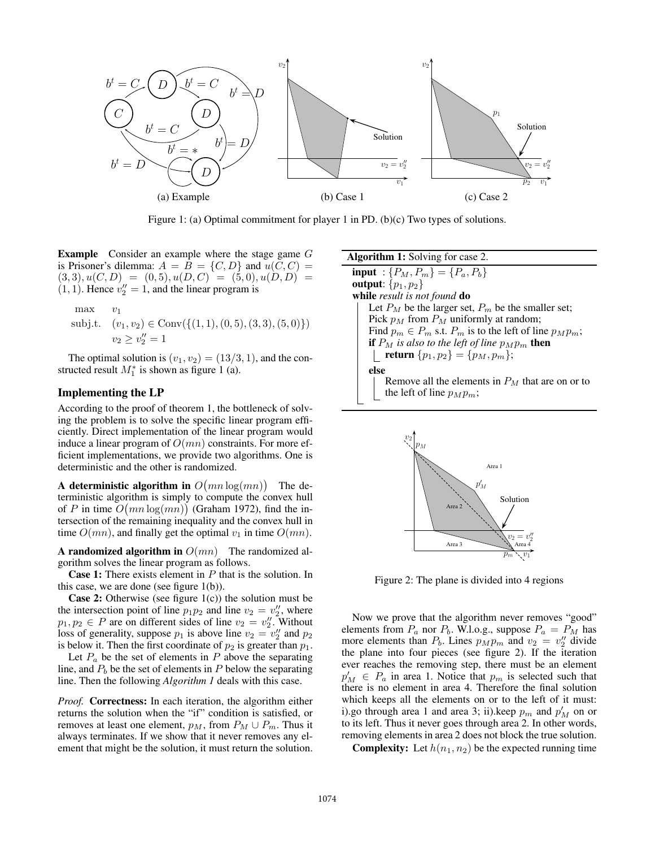

Figure 1: (a) Optimal commitment for player 1 in PD. (b)(c) Two types of solutions.

Example Consider an example where the stage game G is Prisoner's dilemma:  $A = B = \{C, D\}$  and  $u(C, C) =$  $(3, 3), u(C, D) = (0, 5), u(D, C) = (5, 0), u(D, D) =$  $(1, 1)$ . Hence  $v''_2 = 1$ , and the linear program is

max 
$$
v_1
$$
  
subj.t.  $(v_1, v_2) \in Conv(\{(1, 1), (0, 5), (3, 3), (5, 0)\})$   
 $v_2 \ge v_2'' = 1$ 

The optimal solution is  $(v_1, v_2) = (13/3, 1)$ , and the constructed result  $M_1^*$  is shown as figure 1 (a).

# Implementing the LP

According to the proof of theorem 1, the bottleneck of solving the problem is to solve the specific linear program efficiently. Direct implementation of the linear program would induce a linear program of  $O(mn)$  constraints. For more efficient implementations, we provide two algorithms. One is deterministic and the other is randomized.

A deterministic algorithm in  $O(mn \log(mn))$  The deterministic algorithm is simply to compute the convex hull of P in time  $O(mn \log(mn))$  (Graham 1972), find the intersection of the remaining inequality and the convex hull in time  $O(mn)$ , and finally get the optimal  $v_1$  in time  $O(mn)$ .

A randomized algorithm in  $O(mn)$  The randomized algorithm solves the linear program as follows.

**Case 1:** There exists element in  $P$  that is the solution. In this case, we are done (see figure 1(b)).

**Case 2:** Otherwise (see figure  $1(c)$ ) the solution must be the intersection point of line  $p_1p_2$  and line  $v_2 = v_2''$ , where  $p_1, p_2 \in P$  are on different sides of line  $v_2 = v_2''$ . Without loss of generality, suppose  $p_1$  is above line  $v_2 = v_2''$  and  $p_2$ is below it. Then the first coordinate of  $p_2$  is greater than  $p_1$ .

Let  $P_a$  be the set of elements in P above the separating line, and  $P<sub>b</sub>$  be the set of elements in P below the separating line. Then the following *Algorithm 1* deals with this case.

*Proof.* Correctness: In each iteration, the algorithm either returns the solution when the "if" condition is satisfied, or removes at least one element,  $p_M$ , from  $P_M \cup P_m$ . Thus it always terminates. If we show that it never removes any element that might be the solution, it must return the solution. Algorithm 1: Solving for case 2. **input** :  $\{P_M, P_m\} = \{P_a, P_b\}$ output:  $\{p_1, p_2\}$ while *result is not found* do Let  $P_M$  be the larger set,  $P_m$  be the smaller set; Pick  $p_M$  from  $P_M$  uniformly at random; Find  $p_m \in P_m$  s.t.  $P_m$  is to the left of line  $p_M p_m$ ; if  $P_M$  is also to the left of line  $p_Mp_m$  then **return**  $\{p_1, p_2\} = \{p_M, p_m\};$ else Remove all the elements in  $P<sub>M</sub>$  that are on or to the left of line  $p_Mp_m$ ;



Figure 2: The plane is divided into 4 regions

Now we prove that the algorithm never removes "good" elements from  $P_a$  nor  $P_b$ . W.l.o.g., suppose  $P_a = P_M$  has more elements than  $P_b$ . Lines  $p_M p_m$  and  $v_2 = v''_2$  divide the plane into four pieces (see figure 2). If the iteration ever reaches the removing step, there must be an element  $p'_M \in P_a$  in area 1. Notice that  $p_m$  is selected such that there is no element in area 4. Therefore the final solution which keeps all the elements on or to the left of it must: i).go through area 1 and area 3; ii).keep  $p_m$  and  $p'_M$  on or to its left. Thus it never goes through area 2. In other words, removing elements in area 2 does not block the true solution.

**Complexity:** Let  $h(n_1, n_2)$  be the expected running time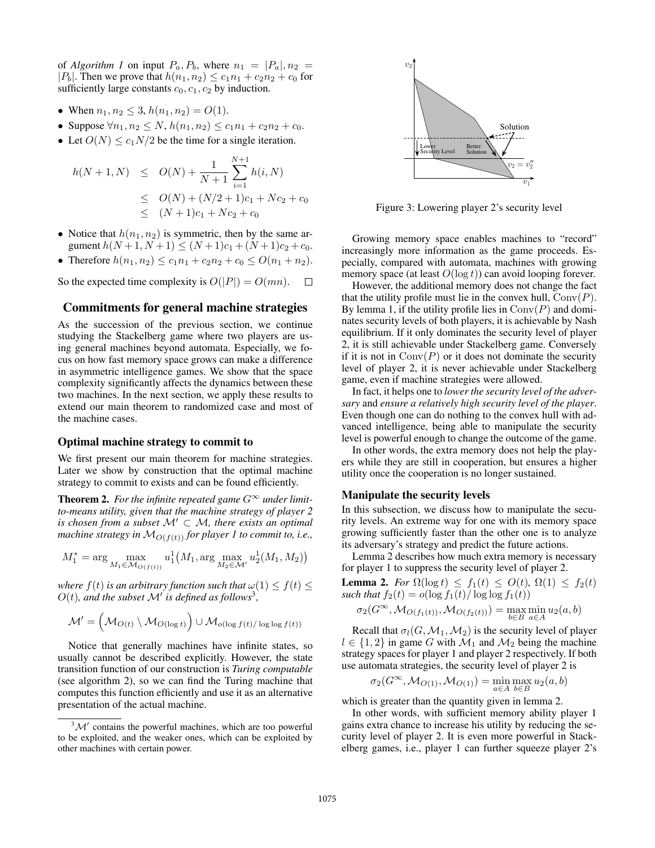of *Algorithm 1* on input  $P_a, P_b$ , where  $n_1 = |P_a|, n_2 =$ | $P_b$ |. Then we prove that  $h(n_1, n_2) \le c_1 n_1 + c_2 n_2 + c_0$  for sufficiently large constants  $c_0, c_1, c_2$  by induction.

- When  $n_1, n_2 \leq 3$ ,  $h(n_1, n_2) = O(1)$ .
- Suppose  $\forall n_1, n_2 \leq N$ ,  $h(n_1, n_2) \leq c_1 n_1 + c_2 n_2 + c_0$ .
- Let  $O(N) \leq c_1 N/2$  be the time for a single iteration.

$$
h(N+1, N) \leq O(N) + \frac{1}{N+1} \sum_{i=1}^{N+1} h(i, N)
$$
  
\n
$$
\leq O(N) + (N/2 + 1)c_1 + Nc_2 + c_0
$$
  
\n
$$
\leq (N+1)c_1 + Nc_2 + c_0
$$

- Notice that  $h(n_1, n_2)$  is symmetric, then by the same argument  $h(N+1, N+1) \leq (N+1)c_1 + (N+1)c_2 + c_0$ .
- Therefore  $h(n_1, n_2) \le c_1 n_1 + c_2 n_2 + c_0 \le O(n_1 + n_2)$ .

So the expected time complexity is  $O(|P|) = O(mn)$ .  $\Box$ 

## Commitments for general machine strategies

As the succession of the previous section, we continue studying the Stackelberg game where two players are using general machines beyond automata. Especially, we focus on how fast memory space grows can make a difference in asymmetric intelligence games. We show that the space complexity significantly affects the dynamics between these two machines. In the next section, we apply these results to extend our main theorem to randomized case and most of the machine cases.

#### Optimal machine strategy to commit to

We first present our main theorem for machine strategies. Later we show by construction that the optimal machine strategy to commit to exists and can be found efficiently.

**Theorem 2.** For the infinite repeated game  $G^{\infty}$  under limit*to-means utility, given that the machine strategy of player 2 is chosen from a subset*  $M' \subset M$ *, there exists an optimal machine strategy in*  $M_{O(f(t))}$  *for player 1 to commit to, i.e.,* 

$$
M_1^* = \arg\max_{M_1 \in \mathcal{M}_{O(f(t))}} u_1^1(M_1, \arg\max_{M_2 \in \mathcal{M}'} u_2^1(M_1, M_2))
$$

*where*  $f(t)$  *is an arbitrary function such that*  $\omega(1) \leq f(t) \leq$  $O(t)$ , and the subset  $\mathcal{M}'$  is defined as follows<sup>3</sup>,

$$
\mathcal{M}' = \left(\mathcal{M}_{O(t)} \setminus \mathcal{M}_{O(\log t)}\right) \cup \mathcal{M}_{o(\log f(t) / \log \log f(t))}
$$

Notice that generally machines have infinite states, so usually cannot be described explicitly. However, the state transition function of our construction is *Turing computable* (see algorithm 2), so we can find the Turing machine that computes this function efficiently and use it as an alternative presentation of the actual machine.



Figure 3: Lowering player 2's security level

Growing memory space enables machines to "record" increasingly more information as the game proceeds. Especially, compared with automata, machines with growing memory space (at least  $O(\log t)$ ) can avoid looping forever.

However, the additional memory does not change the fact that the utility profile must lie in the convex hull,  $Conv(P)$ . By lemma 1, if the utility profile lies in  $Conv(P)$  and dominates security levels of both players, it is achievable by Nash equilibrium. If it only dominates the security level of player 2, it is still achievable under Stackelberg game. Conversely if it is not in  $Conv(P)$  or it does not dominate the security level of player 2, it is never achievable under Stackelberg game, even if machine strategies were allowed.

In fact, it helps one to *lower the security level of the adversary* and *ensure a relatively high security level of the player*. Even though one can do nothing to the convex hull with advanced intelligence, being able to manipulate the security level is powerful enough to change the outcome of the game.

In other words, the extra memory does not help the players while they are still in cooperation, but ensures a higher utility once the cooperation is no longer sustained.

#### Manipulate the security levels

In this subsection, we discuss how to manipulate the security levels. An extreme way for one with its memory space growing sufficiently faster than the other one is to analyze its adversary's strategy and predict the future actions.

Lemma 2 describes how much extra memory is necessary for player 1 to suppress the security level of player 2.

**Lemma 2.** *For*  $\Omega(\log t) \leq f_1(t) \leq O(t)$ ,  $\Omega(1) \leq f_2(t)$ *such that*  $f_2(t) = o(\log f_1(t) / \log \log f_1(t))$ 

$$
\sigma_2(G^{\infty}, \mathcal{M}_{O(f_1(t))}, \mathcal{M}_{O(f_2(t))}) = \max_{b \in B} \min_{a \in A} u_2(a, b)
$$

Recall that  $\sigma_l(G, \mathcal{M}_1, \mathcal{M}_2)$  is the security level of player  $l \in \{1,2\}$  in game G with  $\mathcal{M}_1$  and  $\mathcal{M}_2$  being the machine strategy spaces for player 1 and player 2 respectively. If both use automata strategies, the security level of player 2 is

$$
\sigma_2(G^{\infty},\mathcal{M}_{O(1)},\mathcal{M}_{O(1)})=\min_{a\in A}\max_{b\in B}u_2(a,b)
$$

which is greater than the quantity given in lemma 2.

In other words, with sufficient memory ability player 1 gains extra chance to increase his utility by reducing the security level of player 2. It is even more powerful in Stackelberg games, i.e., player 1 can further squeeze player 2's

 $3\mathcal{M}'$  contains the powerful machines, which are too powerful to be exploited, and the weaker ones, which can be exploited by other machines with certain power.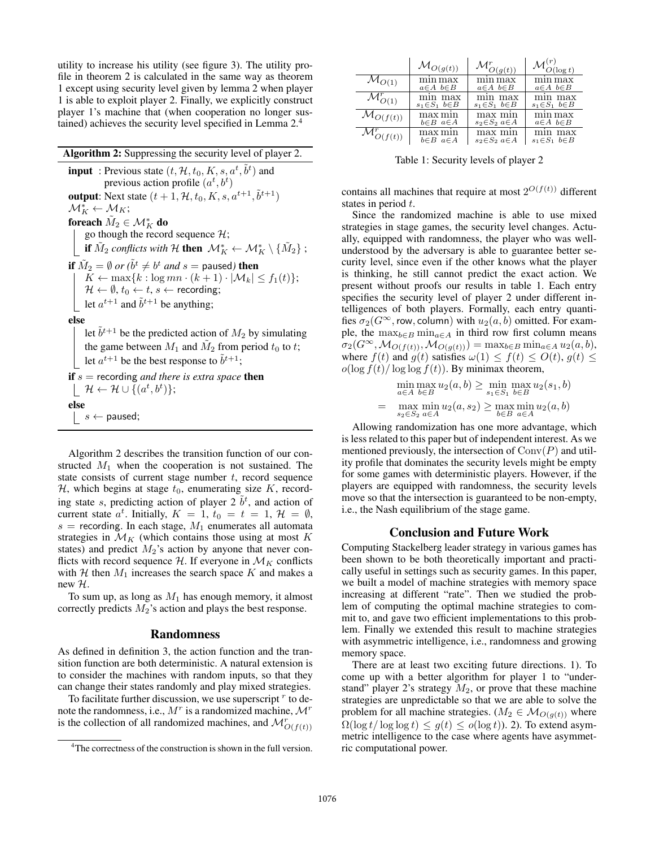utility to increase his utility (see figure 3). The utility profile in theorem 2 is calculated in the same way as theorem 1 except using security level given by lemma 2 when player 1 is able to exploit player 2. Finally, we explicitly construct player 1's machine that (when cooperation no longer sustained) achieves the security level specified in Lemma 2.<sup>4</sup>

| <b>Algorithm 2:</b> Suppressing the security level of player 2.                                                                                                                                                                                            |  |  |  |  |
|------------------------------------------------------------------------------------------------------------------------------------------------------------------------------------------------------------------------------------------------------------|--|--|--|--|
| <b>input</b> : Previous state $(t, \mathcal{H}, t_0, K, s, a^t, \tilde{b}^t)$ and<br>previous action profile $(a^t, b^t)$                                                                                                                                  |  |  |  |  |
| <b>output:</b> Next state $(t + 1, \mathcal{H}, t_0, K, s, a^{t+1}, \tilde{b}^{t+1})$                                                                                                                                                                      |  |  |  |  |
| $\mathcal{M}_K^* \leftarrow \mathcal{M}_K;$                                                                                                                                                                                                                |  |  |  |  |
| foreach $M_2 \in \mathcal{M}_K^*$ do                                                                                                                                                                                                                       |  |  |  |  |
| go though the record sequence $\mathcal{H}$ ;                                                                                                                                                                                                              |  |  |  |  |
| <b>if</b> $\tilde{M}_2$ conflicts with H <b>then</b> $\mathcal{M}_K^* \leftarrow \mathcal{M}_K^* \setminus \{M_2\}$ ;                                                                                                                                      |  |  |  |  |
| if $\tilde{M}_2 = \emptyset$ or $(\tilde{b}^t \neq b^t$ and $s =$ paused) then<br>$K \leftarrow \max\{k : \log mn \cdot (k+1) \cdot  \mathcal{M}_k  \leq f_1(t)\};$<br>$\mathcal{H} \leftarrow \emptyset$ , $t_0 \leftarrow t$ , $s \leftarrow$ recording; |  |  |  |  |
| let $a^{t+1}$ and $\tilde{b}^{t+1}$ be anything;                                                                                                                                                                                                           |  |  |  |  |
| else                                                                                                                                                                                                                                                       |  |  |  |  |
| let $\tilde{b}^{t+1}$ be the predicted action of $M_2$ by simulating<br>the game between $M_1$ and $M_2$ from period $t_0$ to t;<br>let $a^{t+1}$ be the best response to $\tilde{b}^{t+1}$ ;                                                              |  |  |  |  |
| <b>if</b> $s$ = recording <i>and there is extra space</i> <b>then</b><br>$\left\vert \quad \mathcal{H} \leftarrow \mathcal{H} \cup \{(a^t, b^t)\};$                                                                                                        |  |  |  |  |
| else                                                                                                                                                                                                                                                       |  |  |  |  |
| $\vert \quad s \leftarrow$ paused;                                                                                                                                                                                                                         |  |  |  |  |

Algorithm 2 describes the transition function of our constructed  $M_1$  when the cooperation is not sustained. The state consists of current stage number  $t$ , record sequence H, which begins at stage  $t_0$ , enumerating size K, recording state s, predicting action of player  $2\tilde{b}^t$ , and action of current state  $a^t$ . Initially,  $K = 1$ ,  $t_0 = t = 1$ ,  $\mathcal{H} = \emptyset$ ,  $s$  = recording. In each stage,  $M_1$  enumerates all automata strategies in  $\mathcal{M}_K$  (which contains those using at most K states) and predict  $M_2$ 's action by anyone that never conflicts with record sequence  $\mathcal{H}$ . If everyone in  $\mathcal{M}_K$  conflicts with H then  $M_1$  increases the search space K and makes a new H.

To sum up, as long as  $M_1$  has enough memory, it almost correctly predicts  $M_2$ 's action and plays the best response.

#### Randomness

As defined in definition 3, the action function and the transition function are both deterministic. A natural extension is to consider the machines with random inputs, so that they can change their states randomly and play mixed strategies.

To facilitate further discussion, we use superscript  $r$  to denote the randomness, i.e.,  $M^r$  is a randomized machine,  $\mathcal{M}^r$ is the collection of all randomized machines, and  $\mathcal{M}_{O(f(t))}^r$ 

|                                  | $\mathcal{M}_{O(g(t))}$ |                         | $\mathcal{M}^{\backslash\prime}_{O(\underline{\log t})}$ |
|----------------------------------|-------------------------|-------------------------|----------------------------------------------------------|
| $\mathcal{M}_{O(1)}$             | mın max                 | mın max                 | mın max                                                  |
|                                  | $a \in A$ $b \in B$     | $a \in A$ $b \in B$     | $a \in A$ $b \in B$                                      |
| $\mathcal{M}^r_{O(1)}$           | min max                 | min max                 | mın max                                                  |
|                                  | $s_1 \in S_1$ $b \in B$ | $s_1 \in S_1$ $b \in B$ | $s_1 \in S_1$ $b \in B$                                  |
| $\mathcal{M}_{O(f(t))}$          | max mın                 | max min                 | mın max                                                  |
|                                  | $b \in B$ $a \in A$     | $s_2 \in S_2$ $a \in A$ | $a \in A$ $b \in B$                                      |
| $\mathcal{M}^{\prime}_{O(f(t))}$ | max min                 | max mın                 | mın max                                                  |
|                                  | $b \in B$ $a \in A$     | $s_2 \in S_2$ $a \in A$ | $s_1 \in S_1$ $b \in B$                                  |

Table 1: Security levels of player 2

contains all machines that require at most  $2^{O(f(t))}$  different states in period t.

Since the randomized machine is able to use mixed strategies in stage games, the security level changes. Actually, equipped with randomness, the player who was wellunderstood by the adversary is able to guarantee better security level, since even if the other knows what the player is thinking, he still cannot predict the exact action. We present without proofs our results in table 1. Each entry specifies the security level of player 2 under different intelligences of both players. Formally, each entry quantifies  $\sigma_2(G^{\infty},$  row, column) with  $u_2(a, b)$  omitted. For example, the  $\max_{b \in B} \min_{a \in A}$  in third row first column means  $\sigma_2(G^{\infty},\mathcal{M}_{O(f(t))},\mathcal{M}_{O(g(t))}) = \max_{b \in B} \min_{a \in A} u_2(a,b),$ where  $f(t)$  and  $g(t)$  satisfies  $\omega(1) \leq f(t) \leq O(t)$ ,  $g(t) \leq$  $o(\log f(t)/\log \log f(t))$ . By minimax theorem,

$$
\min_{a \in A} \max_{b \in B} u_2(a, b) \ge \min_{s_1 \in S_1} \max_{b \in B} u_2(s_1, b)
$$
\n
$$
= \max_{s_2 \in S_2} \min_{a \in A} u_2(a, s_2) \ge \max_{b \in B} \min_{a \in A} u_2(a, b)
$$

Allowing randomization has one more advantage, which is less related to this paper but of independent interest. As we mentioned previously, the intersection of  $Conv(P)$  and utility profile that dominates the security levels might be empty for some games with deterministic players. However, if the players are equipped with randomness, the security levels move so that the intersection is guaranteed to be non-empty, i.e., the Nash equilibrium of the stage game.

#### Conclusion and Future Work

Computing Stackelberg leader strategy in various games has been shown to be both theoretically important and practically useful in settings such as security games. In this paper, we built a model of machine strategies with memory space increasing at different "rate". Then we studied the problem of computing the optimal machine strategies to commit to, and gave two efficient implementations to this problem. Finally we extended this result to machine strategies with asymmetric intelligence, i.e., randomness and growing memory space.

There are at least two exciting future directions. 1). To come up with a better algorithm for player 1 to "understand" player 2's strategy  $M_2$ , or prove that these machine strategies are unpredictable so that we are able to solve the problem for all machine strategies. ( $M_2 \in \mathcal{M}_{O(g(t))}$  where  $\Omega(\log t/\log \log t) \leq g(t) \leq o(\log t)$ . To extend asymmetric intelligence to the case where agents have asymmetric computational power.

<sup>4</sup>The correctness of the construction is shown in the full version.